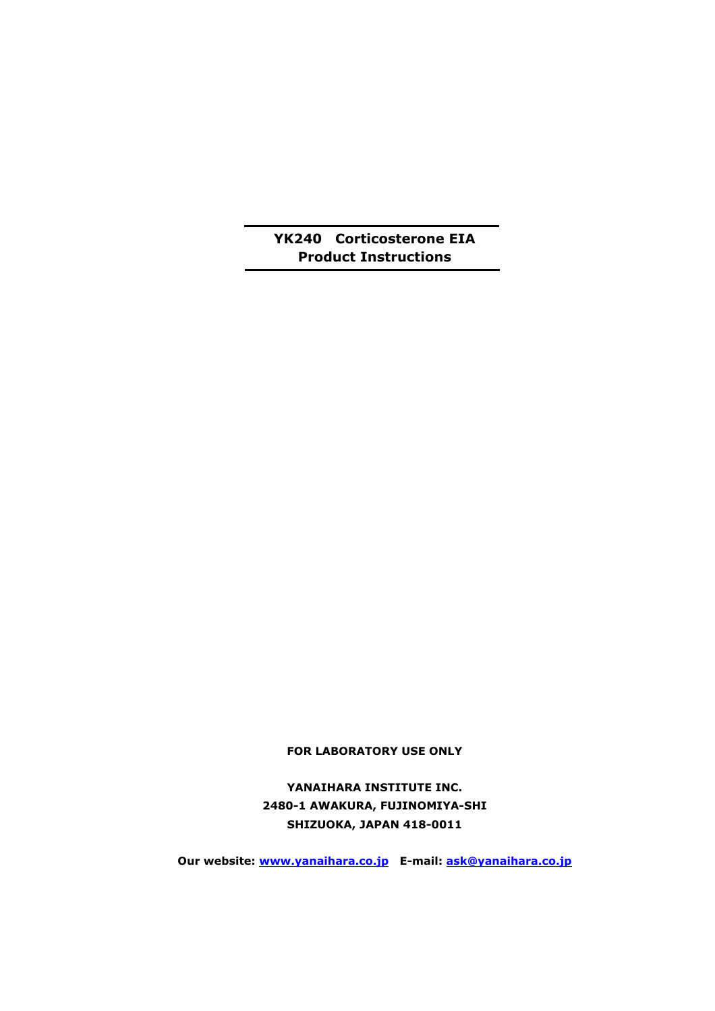# **YK240 Corticosterone EIA Product Instructions**

**FOR LABORATORY USE ONLY** 

**YANAIHARA INSTITUTE INC. 2480-1 AWAKURA, FUJINOMIYA-SHI SHIZUOKA, JAPAN 418-0011** 

**Our website: www.yanaihara.co.jp E-mail: ask@yanaihara.co.jp**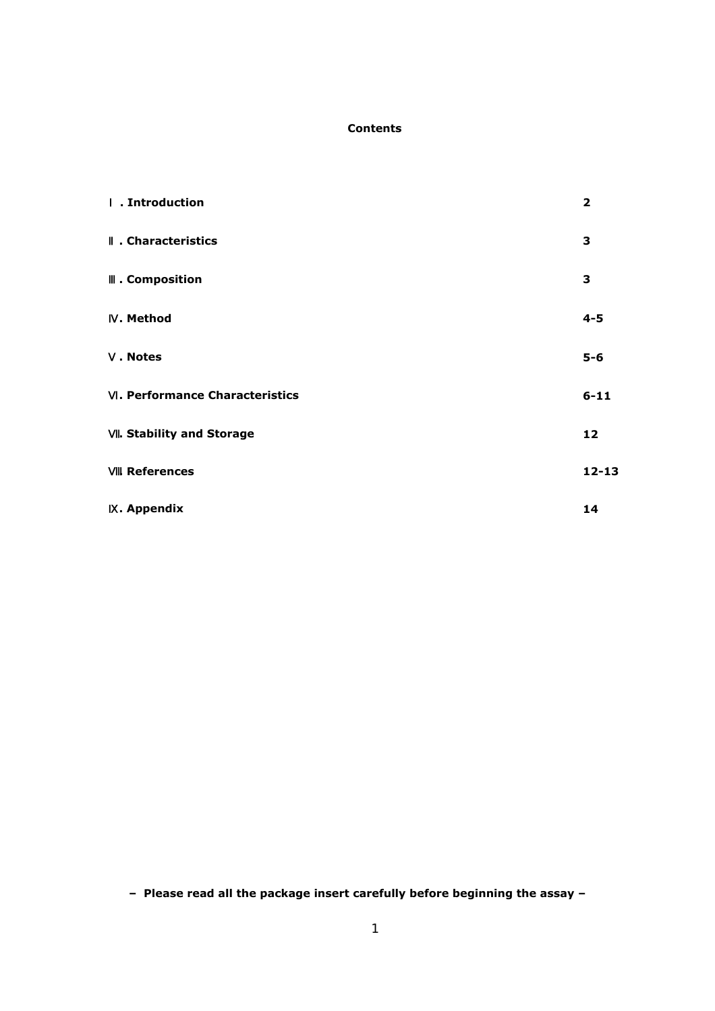## **Contents**

| . Introduction                | $\overline{\mathbf{2}}$ |
|-------------------------------|-------------------------|
| . Characteristics             | 3                       |
| . Composition                 | 3                       |
| . Method                      | $4 - 5$                 |
| . Notes                       | $5-6$                   |
| . Performance Characteristics | $6 - 11$                |
| . Stability and Storage       | $12 \overline{ }$       |
| . References                  | $12 - 13$               |
| . Appendix                    | 14                      |

**– Please read all the package insert carefully before beginning the assay –**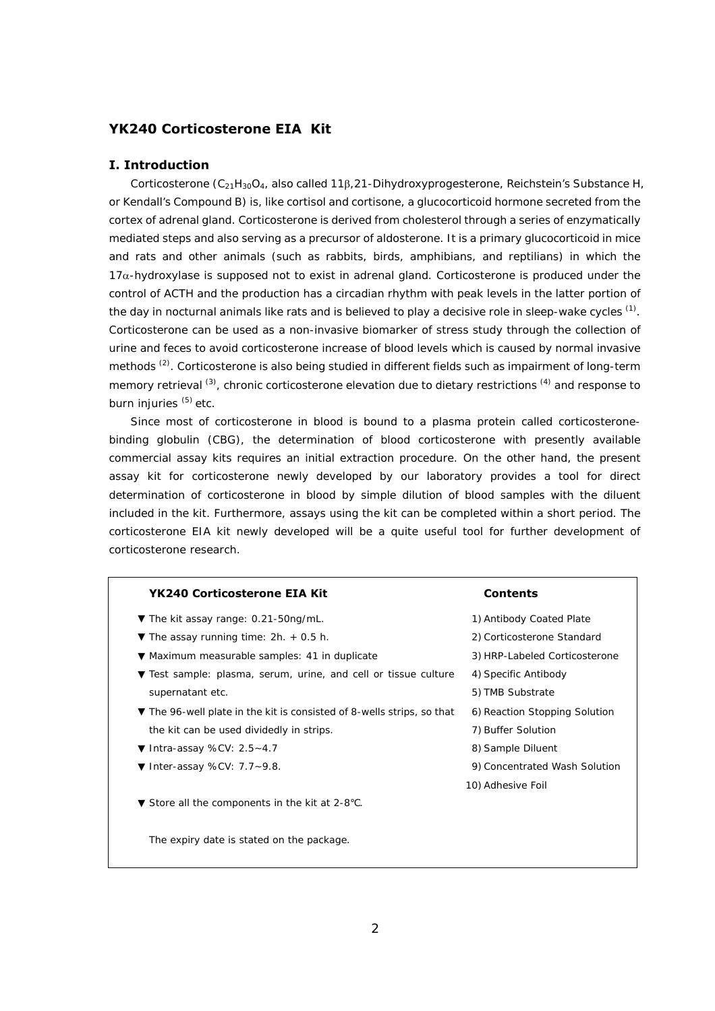## **YK240 Corticosterone EIA Kit**

## **I. Introduction**

Corticosterone  $(C_{21}H_{30}O_4$ , also called 11 $\beta$ ,21-Dihydroxyprogesterone, Reichstein's Substance H, or Kendall's Compound B) is, like cortisol and cortisone, a glucocorticoid hormone secreted from the cortex of adrenal gland. Corticosterone is derived from cholesterol through a series of enzymatically mediated steps and also serving as a precursor of aldosterone. It is a primary glucocorticoid in mice and rats and other animals (such as rabbits, birds, amphibians, and reptilians) in which the  $17\alpha$ -hydroxylase is supposed not to exist in adrenal gland. Corticosterone is produced under the control of ACTH and the production has a circadian rhythm with peak levels in the latter portion of the day in nocturnal animals like rats and is believed to play a decisive role in sleep-wake cycles  $^{(1)}$ . Corticosterone can be used as a non-invasive biomarker of stress study through the collection of urine and feces to avoid corticosterone increase of blood levels which is caused by normal invasive methods <sup>(2)</sup>. Corticosterone is also being studied in different fields such as impairment of long-term memory retrieval <sup>(3)</sup>, chronic corticosterone elevation due to dietary restrictions <sup>(4)</sup> and response to burn injuries (5) etc.

Since most of corticosterone in blood is bound to a plasma protein called corticosteronebinding globulin (CBG), the determination of blood corticosterone with presently available commercial assay kits requires an initial extraction procedure. On the other hand, the present assay kit for corticosterone newly developed by our laboratory provides a tool for direct determination of corticosterone in blood by simple dilution of blood samples with the diluent included in the kit. Furthermore, assays using the kit can be completed within a short period. The corticosterone EIA kit newly developed will be a quite useful tool for further development of corticosterone research.

#### **YK240 Corticosterone EIA Kit Contents Contents**

The kit assay range: 0.21-50ng/mL. The assay running time:  $2h. + 0.5 h$ . 1) Antibody Coated Plate Maximum measurable samples: 41 in duplicate Test sample: plasma, serum, urine, and cell or tissue culture supernatant etc. 4) Specific Antibody 5) TMB Substrate The 96-well plate in the kit is consisted of 8-wells strips, so that the kit can be used dividedly in strips. Intra-assay %CV: 2.5~4.7 Inter-assay %CV: 7.7~9.8. Store all the components in the kit at 2-8 . 7) Buffer Solution 8) Sample Diluent 10) Adhesive Foil

The expiry date is stated on the package.

2) Corticosterone Standard 3) HRP-Labeled Corticosterone 6) Reaction Stopping Solution 9) Concentrated Wash Solution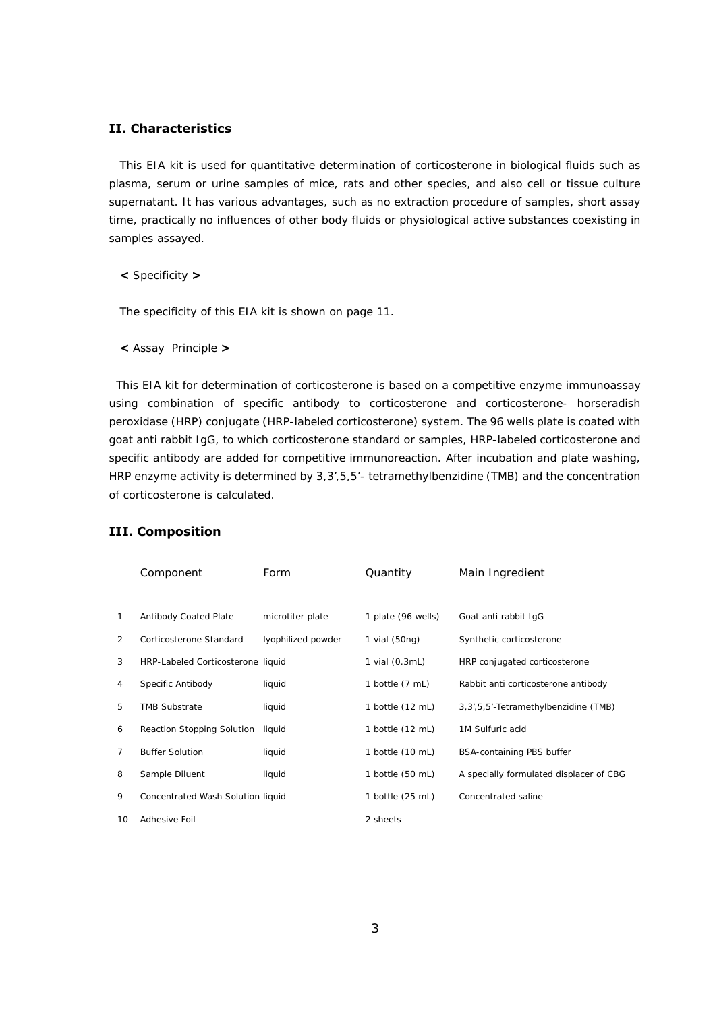## **II. Characteristics**

This EIA kit is used for quantitative determination of corticosterone in biological fluids such as plasma, serum or urine samples of mice, rats and other species, and also cell or tissue culture supernatant. It has various advantages, such as no extraction procedure of samples, short assay time, practically no influences of other body fluids or physiological active substances coexisting in samples assayed.

**<** Specificity **>** 

The specificity of this EIA kit is shown on page 11.

**<** Assay Principle **>** 

This EIA kit for determination of corticosterone is based on a competitive enzyme immunoassay using combination of specific antibody to corticosterone and corticosterone- horseradish peroxidase (HRP) conjugate (HRP-labeled corticosterone) system. The 96 wells plate is coated with goat anti rabbit IgG, to which corticosterone standard or samples, HRP-labeled corticosterone and specific antibody are added for competitive immunoreaction. After incubation and plate washing, HRP enzyme activity is determined by 3,3',5,5'- tetramethylbenzidine (TMB) and the concentration of corticosterone is calculated.

|    | Component                         | Form               | Quantity           | Main Ingredient                         |
|----|-----------------------------------|--------------------|--------------------|-----------------------------------------|
|    |                                   |                    |                    |                                         |
| 1  | <b>Antibody Coated Plate</b>      | microtiter plate   | 1 plate (96 wells) | Goat anti rabbit IgG                    |
| 2  | Corticosterone Standard           | lyophilized powder | 1 vial (50ng)      | Synthetic corticosterone                |
| 3  | HRP-Labeled Corticosterone liquid |                    | 1 vial (0.3mL)     | HRP conjugated corticosterone           |
| 4  | Specific Antibody                 | liquid             | 1 bottle (7 mL)    | Rabbit anti corticosterone antibody     |
| 5  | <b>TMB Substrate</b>              | liquid             | 1 bottle (12 mL)   | 3, 3', 5, 5'-Tetramethylbenzidine (TMB) |
| 6  | <b>Reaction Stopping Solution</b> | liquid             | 1 bottle (12 mL)   | 1M Sulfuric acid                        |
| 7  | <b>Buffer Solution</b>            | liquid             | 1 bottle (10 mL)   | <b>BSA-containing PBS buffer</b>        |
| 8  | Sample Diluent                    | liquid             | 1 bottle (50 mL)   | A specially formulated displacer of CBG |
| 9  | Concentrated Wash Solution liquid |                    | 1 bottle (25 mL)   | Concentrated saline                     |
| 10 | Adhesive Foil                     |                    | 2 sheets           |                                         |

## **III. Composition**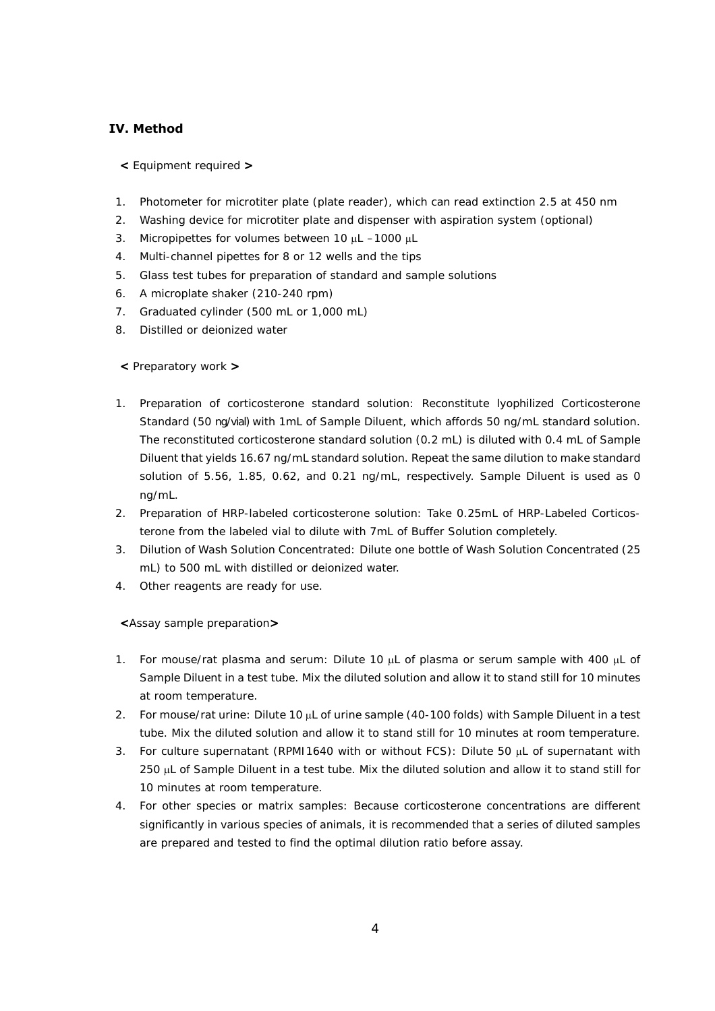## **IV. Method**

- **<** Equipment required **>**
- 1. Photometer for microtiter plate (plate reader), which can read extinction 2.5 at 450 nm
- 2. Washing device for microtiter plate and dispenser with aspiration system (optional)
- 3. Micropipettes for volumes between 10 µL -1000 µL
- 4. Multi-channel pipettes for 8 or 12 wells and the tips
- 5. Glass test tubes for preparation of standard and sample solutions
- 6. A microplate shaker (210-240 rpm)
- 7. Graduated cylinder (500 mL or 1,000 mL)
- 8. Distilled or deionized water

## **<** Preparatory work **>**

- 1. Preparation of corticosterone standard solution: Reconstitute lyophilized Corticosterone Standard (50 ng/vial) with 1mL of Sample Diluent, which affords 50 ng/mL standard solution. The reconstituted corticosterone standard solution (0.2 mL) is diluted with 0.4 mL of Sample Diluent that yields 16.67 ng/mL standard solution. Repeat the same dilution to make standard solution of 5.56, 1.85, 0.62, and 0.21 ng/mL, respectively. Sample Diluent is used as 0 ng/mL.
- 2. Preparation of HRP-labeled corticosterone solution: Take 0.25mL of HRP-Labeled Corticosterone from the labeled vial to dilute with 7mL of Buffer Solution completely.
- 3. Dilution of Wash Solution Concentrated: Dilute one bottle of Wash Solution Concentrated (25 mL) to 500 mL with distilled or deionized water.
- 4. Other reagents are ready for use.

**<**Assay sample preparation**>** 

- 1. For mouse/rat plasma and serum: Dilute 10  $\mu$ L of plasma or serum sample with 400  $\mu$ L of Sample Diluent in a test tube. Mix the diluted solution and allow it to stand still for 10 minutes at room temperature.
- 2. For mouse/rat urine: Dilute 10 µL of urine sample (40-100 folds) with Sample Diluent in a test tube. Mix the diluted solution and allow it to stand still for 10 minutes at room temperature.
- 3. For culture supernatant (RPMI1640 with or without FCS): Dilute 50 µL of supernatant with 250 µL of Sample Diluent in a test tube. Mix the diluted solution and allow it to stand still for 10 minutes at room temperature.
- 4. For other species or matrix samples: Because corticosterone concentrations are different significantly in various species of animals, it is recommended that a series of diluted samples are prepared and tested to find the optimal dilution ratio before assay.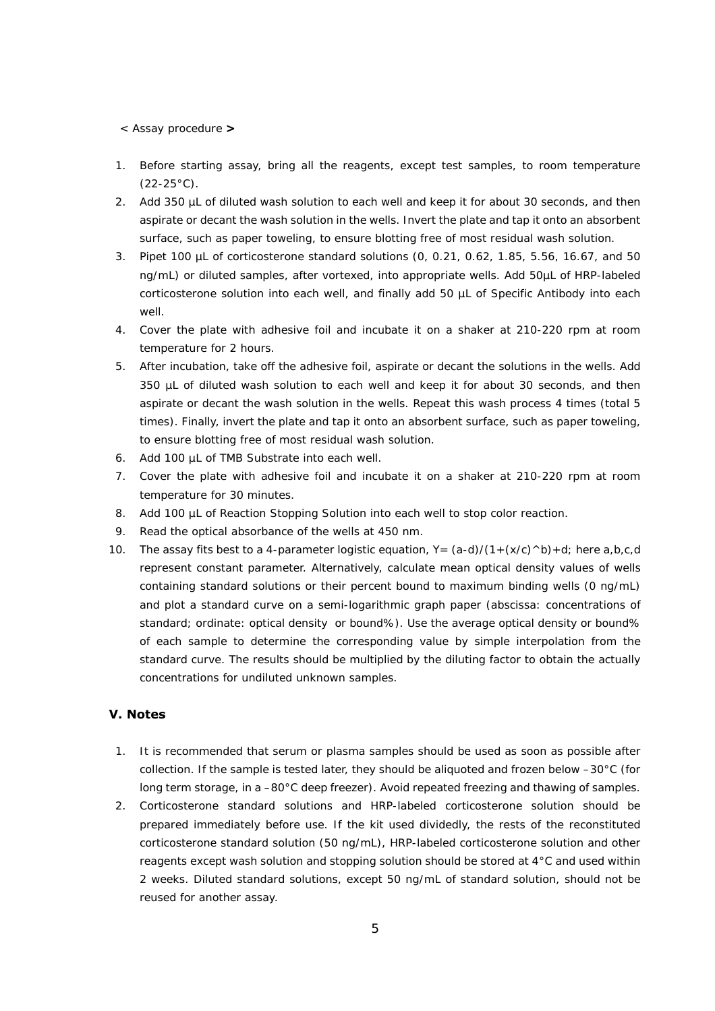#### < Assay procedure **>**

- 1. Before starting assay, bring all the reagents, except test samples, to room temperature  $(22-25°C)$ .
- 2. Add 350 µL of diluted wash solution to each well and keep it for about 30 seconds, and then aspirate or decant the wash solution in the wells. Invert the plate and tap it onto an absorbent surface, such as paper toweling, to ensure blotting free of most residual wash solution.
- 3. Pipet 100 µL of corticosterone standard solutions (0, 0.21, 0.62, 1.85, 5.56, 16.67, and 50 ng/mL) or diluted samples, after vortexed, into appropriate wells. Add 50µL of HRP-labeled corticosterone solution into each well, and finally add 50 µL of Specific Antibody into each well.
- 4. Cover the plate with adhesive foil and incubate it on a shaker at 210-220 rpm at room temperature for 2 hours.
- 5. After incubation, take off the adhesive foil, aspirate or decant the solutions in the wells. Add 350 µL of diluted wash solution to each well and keep it for about 30 seconds, and then aspirate or decant the wash solution in the wells. Repeat this wash process 4 times (total 5 times). Finally, invert the plate and tap it onto an absorbent surface, such as paper toweling, to ensure blotting free of most residual wash solution.
- 6. Add 100 µL of TMB Substrate into each well.
- 7. Cover the plate with adhesive foil and incubate it on a shaker at 210-220 rpm at room temperature for 30 minutes.
- 8. Add 100 µL of Reaction Stopping Solution into each well to stop color reaction.
- 9. Read the optical absorbance of the wells at 450 nm.
- 10. The assay fits best to a 4-parameter logistic equation,  $Y = (a-d)/(1+(x/c)^{\wedge}b)+d$ ; here a,b,c,d represent constant parameter. Alternatively, calculate mean optical density values of wells containing standard solutions or their percent bound to maximum binding wells (0 ng/mL) and plot a standard curve on a semi-logarithmic graph paper (abscissa: concentrations of standard; ordinate: optical density or bound%). Use the average optical density or bound% of each sample to determine the corresponding value by simple interpolation from the standard curve. The results should be multiplied by the diluting factor to obtain the actually concentrations for undiluted unknown samples.

## **V. Notes**

- 1. It is recommended that serum or plasma samples should be used as soon as possible after collection. If the sample is tested later, they should be aliquoted and frozen below –30°C (for long term storage, in a –80°C deep freezer). Avoid repeated freezing and thawing of samples.
- 2. Corticosterone standard solutions and HRP-labeled corticosterone solution should be prepared immediately before use. If the kit used dividedly, the rests of the reconstituted corticosterone standard solution (50 ng/mL), HRP-labeled corticosterone solution and other reagents except wash solution and stopping solution should be stored at 4°C and used within 2 weeks. Diluted standard solutions, except 50 ng/mL of standard solution, should not be reused for another assay.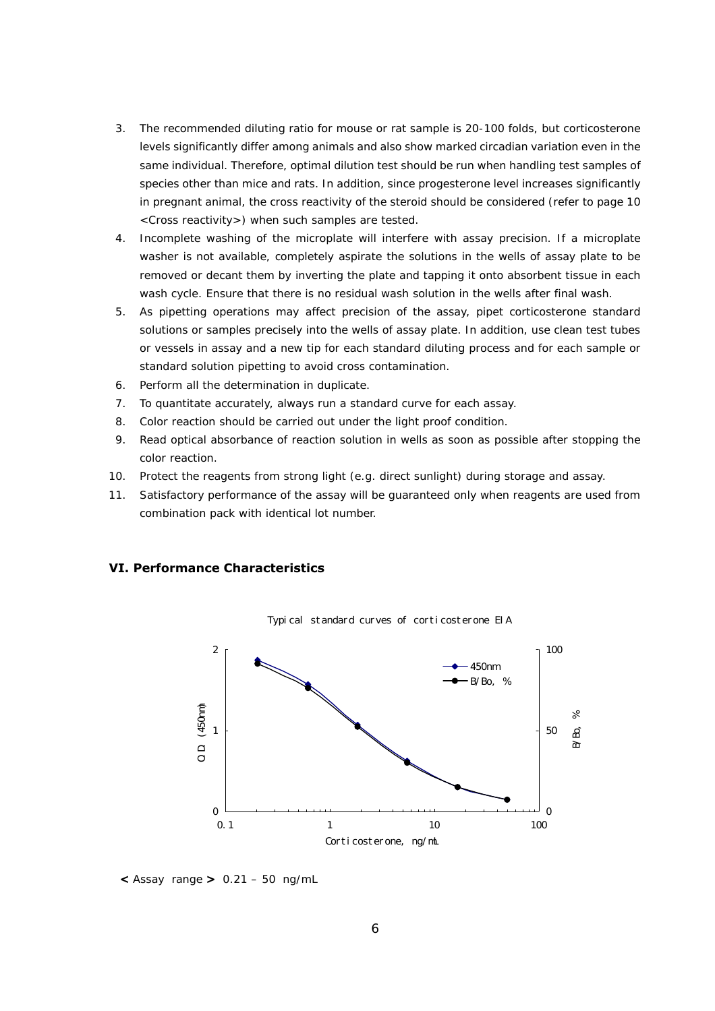- 3. The recommended diluting ratio for mouse or rat sample is 20-100 folds, but corticosterone levels significantly differ among animals and also show marked circadian variation even in the same individual. Therefore, optimal dilution test should be run when handling test samples of species other than mice and rats. In addition, since progesterone level increases significantly in pregnant animal, the cross reactivity of the steroid should be considered (refer to page 10 <Cross reactivity>) when such samples are tested.
- 4. Incomplete washing of the microplate will interfere with assay precision. If a microplate washer is not available, completely aspirate the solutions in the wells of assay plate to be removed or decant them by inverting the plate and tapping it onto absorbent tissue in each wash cycle. Ensure that there is no residual wash solution in the wells after final wash.
- 5. As pipetting operations may affect precision of the assay, pipet corticosterone standard solutions or samples precisely into the wells of assay plate. In addition, use clean test tubes or vessels in assay and a new tip for each standard diluting process and for each sample or standard solution pipetting to avoid cross contamination.
- 6. Perform all the determination in duplicate.
- 7. To quantitate accurately, always run a standard curve for each assay.
- 8. Color reaction should be carried out under the light proof condition.
- 9. Read optical absorbance of reaction solution in wells as soon as possible after stopping the color reaction.
- 10. Protect the reagents from strong light (e.g. direct sunlight) during storage and assay.
- 11. Satisfactory performance of the assay will be guaranteed only when reagents are used from combination pack with identical lot number.

## **VI. Performance Characteristics**



Typical standard curves of corticosterone EIA

**<** Assay range **>** 0.21 – 50 ng/mL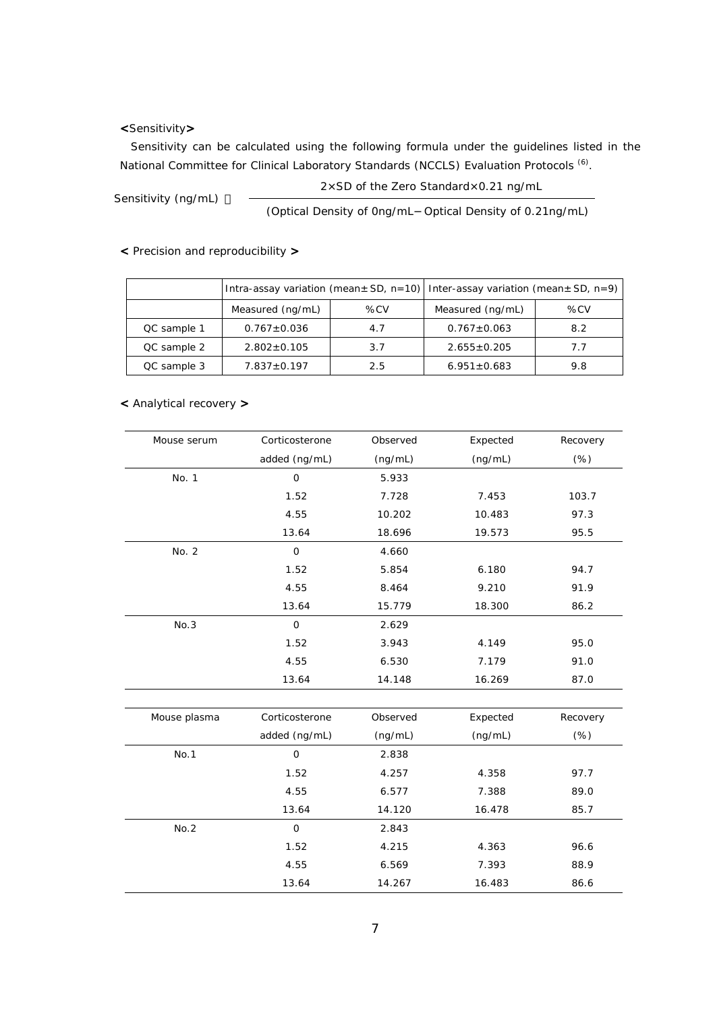## **<**Sensitivity**>**

Sensitivity can be calculated using the following formula under the guidelines listed in the National Committee for Clinical Laboratory Standards (NCCLS) Evaluation Protocols <sup>(6)</sup>.

Sensitivity (ng/mL) 2xSD of the Zero Standardx0.21 ng/mL

(Optical Density of 0ng/mL Optical Density of 0.21ng/mL)

**<** Precision and reproducibility **>** 

|             | Intra-assay variation (mean $\pm$ SD, n=10) Inter-assay variation (mean $\pm$ SD, n=9) |     |                   |     |
|-------------|----------------------------------------------------------------------------------------|-----|-------------------|-----|
|             | Measured (ng/mL)                                                                       | %CV | Measured (ng/mL)  | %CV |
| QC sample 1 | $0.767 \pm 0.036$                                                                      | 4.7 | $0.767 \pm 0.063$ | 8.2 |
| QC sample 2 | $2.802 \pm 0.105$                                                                      | 3.7 | $2.655 \pm 0.205$ | 7.7 |
| QC sample 3 | $7.837 + 0.197$                                                                        | 2.5 | $6.951 \pm 0.683$ | 9.8 |

**<** Analytical recovery **>** 

| Mouse serum  | Corticosterone | Observed | Expected | Recovery   |
|--------------|----------------|----------|----------|------------|
|              | added (ng/mL)  | (ng/mL)  | (ng/mL)  | $(\%)$     |
| No. 1        | 0              | 5.933    |          |            |
|              | 1.52           | 7.728    | 7.453    | 103.7      |
|              | 4.55           | 10.202   | 10.483   | 97.3       |
|              | 13.64          | 18.696   | 19.573   | 95.5       |
| No. 2        | $\mathbf 0$    | 4.660    |          |            |
|              | 1.52           | 5.854    | 6.180    | 94.7       |
|              | 4.55           | 8.464    | 9.210    | 91.9       |
|              | 13.64          | 15.779   | 18.300   | 86.2       |
| No.3         | $\mathbf 0$    | 2.629    |          |            |
|              | 1.52           | 3.943    | 4.149    | 95.0       |
|              | 4.55           | 6.530    | 7.179    | 91.0       |
|              | 13.64          | 14.148   | 16.269   | 87.0       |
| Mouse plasma | Corticosterone | Observed | Expected | Recovery   |
|              | added (ng/mL)  | (ng/mL)  | (ng/mL)  | $(\%)$     |
| No.1         | $\mathbf 0$    | 2.838    |          |            |
|              | 1.52           | 4.257    | 4.358    | 97.7       |
|              | 4.55           | 6.577    | 7.388    | 89.0       |
|              | .              | .        | $\cdots$ | $\sim$ $-$ |

|      | 13.64 | 14.120 | 16.478 | 85.7 |
|------|-------|--------|--------|------|
| No.2 | 0     | 2.843  |        |      |
|      | 1.52  | 4.215  | 4.363  | 96.6 |
|      | 4.55  | 6.569  | 7.393  | 88.9 |
|      | 13.64 | 14.267 | 16.483 | 86.6 |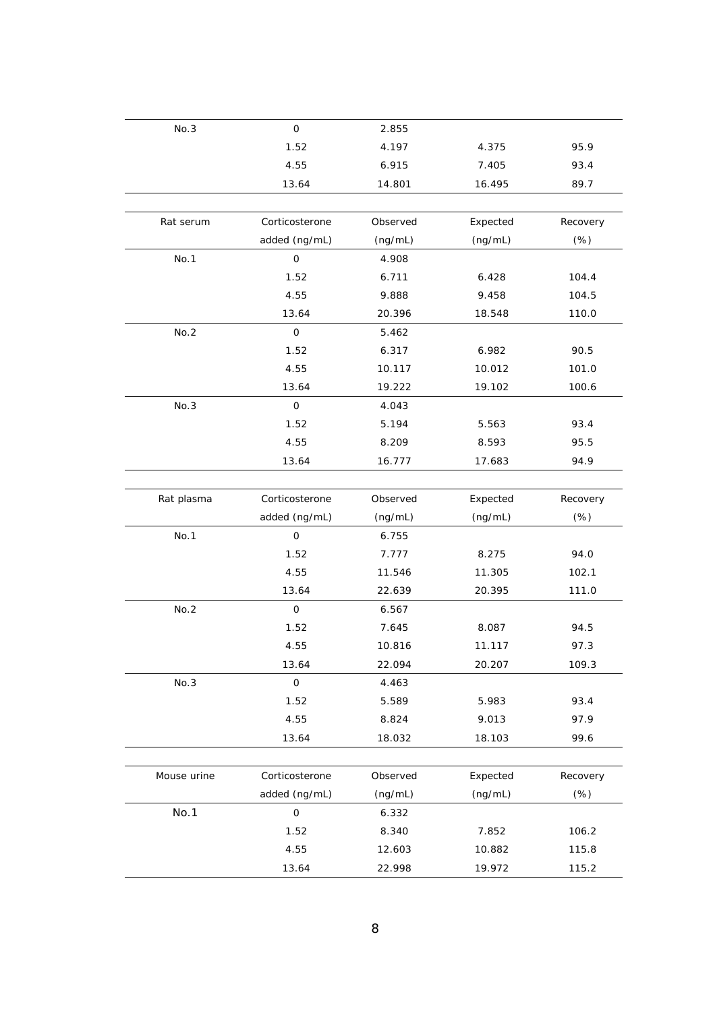| No.3        | $\mathsf{O}$        | 2.855    |          |          |
|-------------|---------------------|----------|----------|----------|
|             | 1.52                | 4.197    | 4.375    | 95.9     |
|             | 4.55                | 6.915    | 7.405    | 93.4     |
|             | 13.64               | 14.801   | 16.495   | 89.7     |
|             |                     |          |          |          |
| Rat serum   | Corticosterone      | Observed | Expected | Recovery |
|             | added (ng/mL)       | (ng/mL)  | (ng/mL)  | $(\%)$   |
| No.1        | 0                   | 4.908    |          |          |
|             | 1.52                | 6.711    | 6.428    | 104.4    |
|             | 4.55                | 9.888    | 9.458    | 104.5    |
|             | 13.64               | 20.396   | 18.548   | 110.0    |
| No.2        | $\mathsf{O}\xspace$ | 5.462    |          |          |
|             | 1.52                | 6.317    | 6.982    | 90.5     |
|             | 4.55                | 10.117   | 10.012   | 101.0    |
|             | 13.64               | 19.222   | 19.102   | 100.6    |
| No.3        | $\mathsf{O}\xspace$ | 4.043    |          |          |
|             | 1.52                | 5.194    | 5.563    | 93.4     |
|             | 4.55                | 8.209    | 8.593    | 95.5     |
|             | 13.64               | 16.777   | 17.683   | 94.9     |
|             |                     |          |          |          |
| Rat plasma  | Corticosterone      | Observed | Expected | Recovery |
|             | added (ng/mL)       | (ng/mL)  | (ng/mL)  | $(\%)$   |
| No.1        | $\mathsf{O}\xspace$ | 6.755    |          |          |
|             | 1.52                | 7.777    | 8.275    | 94.0     |
|             | 4.55                | 11.546   | 11.305   | 102.1    |
|             | 13.64               | 22.639   | 20.395   | 111.0    |
| No.2        | $\mathbf 0$         | 6.567    |          |          |
|             | 1.52                | 7.645    | 8.087    | 94.5     |
|             | 4.55                | 10.816   | 11.117   | 97.3     |
|             | 13.64               | 22.094   | 20.207   | 109.3    |
| No.3        | $\mathsf{O}\xspace$ | 4.463    |          |          |
|             | 1.52                | 5.589    | 5.983    | 93.4     |
|             | 4.55                | 8.824    | 9.013    | 97.9     |
|             | 13.64               | 18.032   | 18.103   | 99.6     |
|             |                     |          |          |          |
| Mouse urine | Corticosterone      | Observed | Expected | Recovery |
|             | added (ng/mL)       | (ng/mL)  | (ng/mL)  | $(\%)$   |
| No.1        | 0                   | 6.332    |          |          |
|             | 1.52                | 8.340    | 7.852    | 106.2    |
|             | 4.55                | 12.603   | 10.882   | 115.8    |
|             | 13.64               | 22.998   | 19.972   | 115.2    |
|             |                     |          |          |          |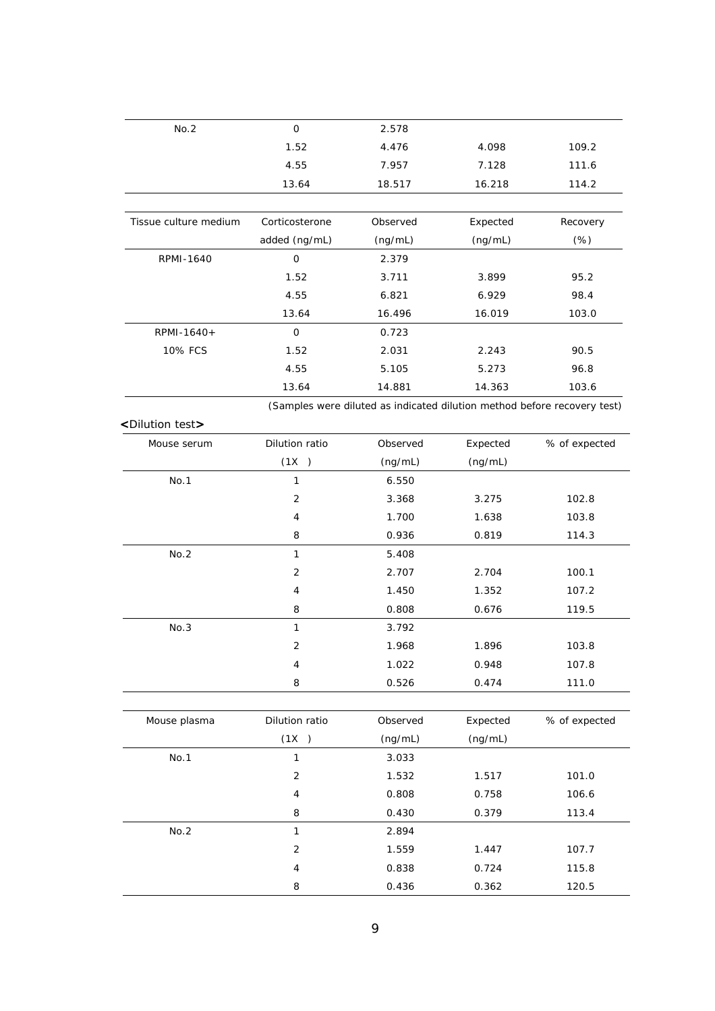| No.2                          | $\mathsf{O}$        | 2.578                                                                    |          |               |
|-------------------------------|---------------------|--------------------------------------------------------------------------|----------|---------------|
|                               | 1.52                | 4.476                                                                    | 4.098    | 109.2         |
|                               | 4.55                | 7.957                                                                    | 7.128    | 111.6         |
|                               | 13.64               | 18.517                                                                   | 16.218   | 114.2         |
|                               |                     |                                                                          |          |               |
| Tissue culture medium         | Corticosterone      | Observed                                                                 | Expected | Recovery      |
|                               | added (ng/mL)       | (ng/mL)                                                                  | (ng/mL)  | $(\%)$        |
| RPMI-1640                     | $\mathsf{O}\xspace$ | 2.379                                                                    |          |               |
|                               | 1.52                | 3.711                                                                    | 3.899    | 95.2          |
|                               | 4.55                | 6.821                                                                    | 6.929    | 98.4          |
|                               | 13.64               | 16.496                                                                   | 16.019   | 103.0         |
| RPMI-1640+                    | $\mathbf 0$         | 0.723                                                                    |          |               |
| <b>10% FCS</b>                | 1.52                | 2.031                                                                    | 2.243    | 90.5          |
|                               | 4.55                | 5.105                                                                    | 5.273    | 96.8          |
|                               | 13.64               | 14.881                                                                   | 14.363   | 103.6         |
|                               |                     | (Samples were diluted as indicated dilution method before recovery test) |          |               |
| <dilution test=""></dilution> |                     |                                                                          |          |               |
| Mouse serum                   | Dilution ratio      | Observed                                                                 | Expected | % of expected |
|                               | (1X)                | (ng/mL)                                                                  | (ng/mL)  |               |
| No.1                          | 1                   | 6.550                                                                    |          |               |
|                               | $\overline{2}$      | 3.368                                                                    | 3.275    | 102.8         |
|                               | 4                   | 1.700                                                                    | 1.638    | 103.8         |
|                               | 8                   | 0.936                                                                    | 0.819    | 114.3         |
| No.2                          | 1                   | 5.408                                                                    |          |               |
|                               | $\overline{2}$      | 2.707                                                                    | 2.704    | 100.1         |
|                               | $\overline{4}$      | 1.450                                                                    | 1.352    | 107.2         |
|                               | 8                   | 0.808                                                                    | 0.676    | 119.5         |
| No.3                          | 1                   | 3.792                                                                    |          |               |
|                               | $\overline{2}$      | 1.968                                                                    | 1.896    | 103.8         |
|                               | 4                   | 1.022                                                                    | 0.948    | 107.8         |
|                               | 8                   | 0.526                                                                    | 0.474    | 111.0         |
|                               |                     |                                                                          |          |               |
| Mouse plasma                  | Dilution ratio      | Observed                                                                 | Expected | % of expected |
|                               | (1X)                | (ng/mL)                                                                  | (ng/mL)  |               |
| No.1                          | $\mathbf{1}$        | 3.033                                                                    |          |               |
|                               | $\overline{2}$      | 1.532                                                                    | 1.517    | 101.0         |
|                               | 4                   | 0.808                                                                    | 0.758    | 106.6         |
|                               | 8                   | 0.430                                                                    | 0.379    | 113.4         |
| No.2                          |                     | 2.894                                                                    |          |               |
|                               | $\mathbf{1}$        |                                                                          |          |               |
|                               | $\sqrt{2}$          | 1.559                                                                    | 1.447    | 107.7         |
|                               | 4                   | 0.838                                                                    | 0.724    | 115.8         |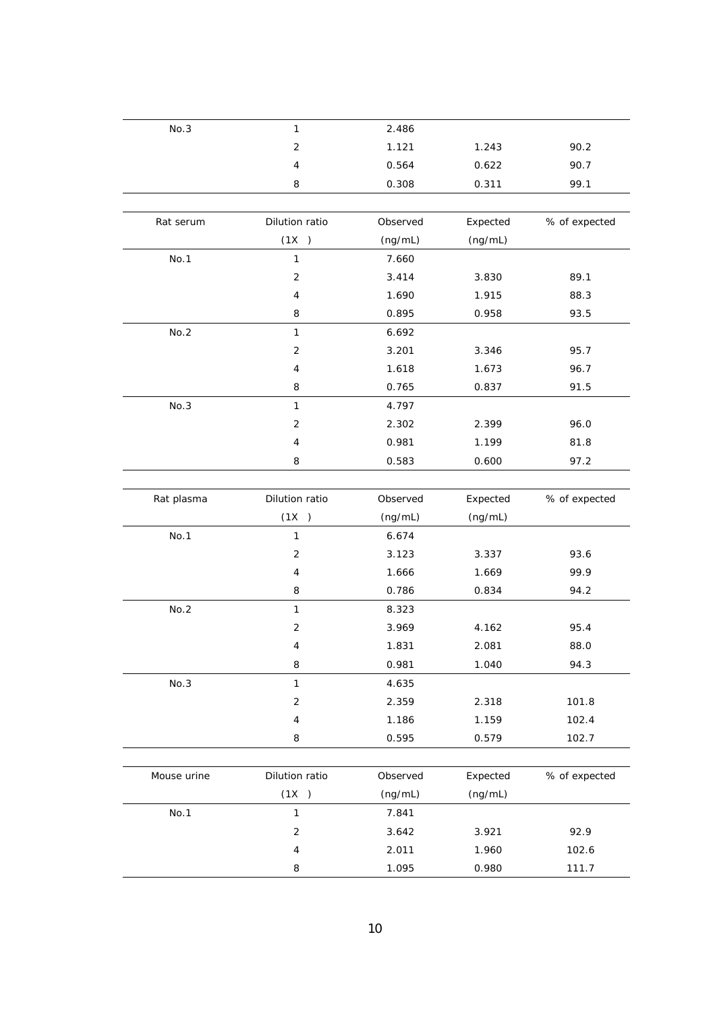| No.3        | 1                       | 2.486    |          |               |
|-------------|-------------------------|----------|----------|---------------|
|             | $\overline{2}$          | 1.121    | 1.243    | 90.2          |
|             | 4                       | 0.564    | 0.622    | 90.7          |
|             | 8                       | 0.308    | 0.311    | 99.1          |
|             |                         |          |          |               |
| Rat serum   | Dilution ratio          | Observed | Expected | % of expected |
|             | (1X)                    | (ng/mL)  | (ng/mL)  |               |
| No.1        | 1                       | 7.660    |          |               |
|             | $\overline{2}$          | 3.414    | 3.830    | 89.1          |
|             | 4                       | 1.690    | 1.915    | 88.3          |
|             | 8                       | 0.895    | 0.958    | 93.5          |
| No.2        | $\mathbf{1}$            | 6.692    |          |               |
|             | 2                       | 3.201    | 3.346    | 95.7          |
|             | 4                       | 1.618    | 1.673    | 96.7          |
|             | 8                       | 0.765    | 0.837    | 91.5          |
| No.3        | $\mathbf{1}$            | 4.797    |          |               |
|             | 2                       | 2.302    | 2.399    | 96.0          |
|             | $\overline{\mathbf{4}}$ | 0.981    | 1.199    | 81.8          |
|             | 8                       | 0.583    | 0.600    | 97.2          |
|             |                         |          |          |               |
| Rat plasma  | Dilution ratio          | Observed | Expected | % of expected |
|             | (1X)                    | (ng/mL)  | (ng/mL)  |               |
| No.1        | $\mathbf{1}$            | 6.674    |          |               |
|             | $\overline{2}$          | 3.123    | 3.337    | 93.6          |
|             | 4                       | 1.666    | 1.669    | 99.9          |
|             | 8                       | 0.786    | 0.834    | 94.2          |
| No.2        | $\mathbf{1}$            | 8.323    |          |               |
|             | $\overline{2}$          | 3.969    | 4.162    | 95.4          |
|             | 4                       | 1.831    | 2.081    | 88.0          |
|             | 8                       | 0.981    | 1.040    | 94.3          |
| No.3        | $\mathbf{1}$            | 4.635    |          |               |
|             | $\sqrt{2}$              | 2.359    | 2.318    | 101.8         |
|             | 4                       | 1.186    | 1.159    | 102.4         |
|             | 8                       | 0.595    | 0.579    | 102.7         |
|             |                         |          |          |               |
| Mouse urine | Dilution ratio          | Observed | Expected | % of expected |
|             | (1X)                    | (ng/mL)  | (ng/mL)  |               |
| No.1        | 1                       | 7.841    |          |               |
|             | $\sqrt{2}$              | 3.642    | 3.921    | 92.9          |
|             | 4                       | 2.011    | 1.960    | 102.6         |
|             | $\, 8$                  | 1.095    | 0.980    | 111.7         |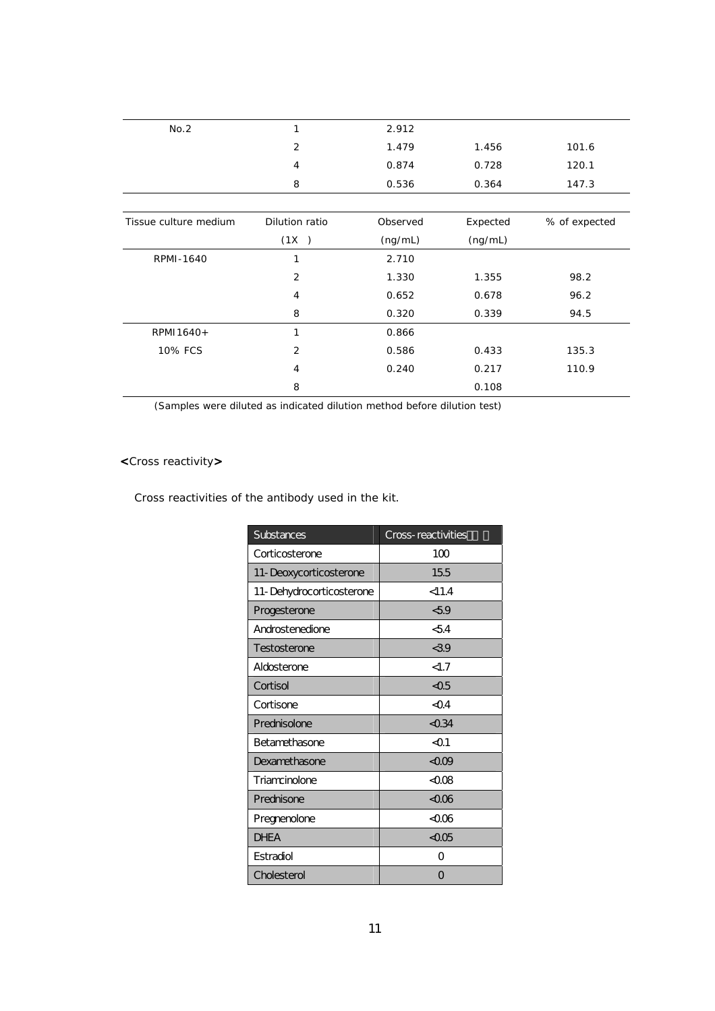| No.2                  | 1              | 2.912    |          |               |
|-----------------------|----------------|----------|----------|---------------|
|                       | 2              | 1.479    | 1.456    | 101.6         |
|                       | $\overline{4}$ | 0.874    | 0.728    | 120.1         |
|                       | 8              | 0.536    | 0.364    | 147.3         |
|                       |                |          |          |               |
| Tissue culture medium | Dilution ratio | Observed | Expected | % of expected |
|                       | (1X)           | (ng/mL)  | (ng/mL)  |               |
| RPMI-1640             | 1              | 2.710    |          |               |
|                       | $\overline{2}$ | 1.330    | 1.355    | 98.2          |
|                       | $\overline{4}$ | 0.652    | 0.678    | 96.2          |
|                       | 8              | 0.320    | 0.339    | 94.5          |
| RPMI1640+             | 1              | 0.866    |          |               |
| 10% FCS               | $\overline{2}$ | 0.586    | 0.433    | 135.3         |
|                       | $\overline{4}$ | 0.240    | 0.217    | 110.9         |
|                       | 8              |          | 0.108    |               |

(Samples were diluted as indicated dilution method before dilution test)

# **<**Cross reactivity**>**

Cross reactivities of the antibody used in the kit.

| Substances               | Cross-reactivities   |
|--------------------------|----------------------|
| Corticosterone           | 100                  |
| 11-Deoxycorticosterone   | 155                  |
| 11-Dehydrocorticosterone | < 11.4               |
| Progesterone             | 59                   |
| Androstenedione          | < 54                 |
| Testosterone             | < 39                 |
| Aldosterone              | <1.7                 |
| Cortisol                 | $\triangle$ 05       |
| Cortisone                | $\triangleleft$      |
| Prednisolone             | $\triangleleft$ 0.34 |
| <b>Betamethasone</b>     | $01$                 |
| <b>Dexamethasone</b>     | < 0.09               |
| Triamcinolone            | <Ω08                 |
| Prednisone               | <006                 |
| Pregnenolone             | <Ω06                 |
| <b>DHEA</b>              | $<\Omega$ 05         |
| <b>Fstradiol</b>         | Ω                    |
| Cholesterol              | O                    |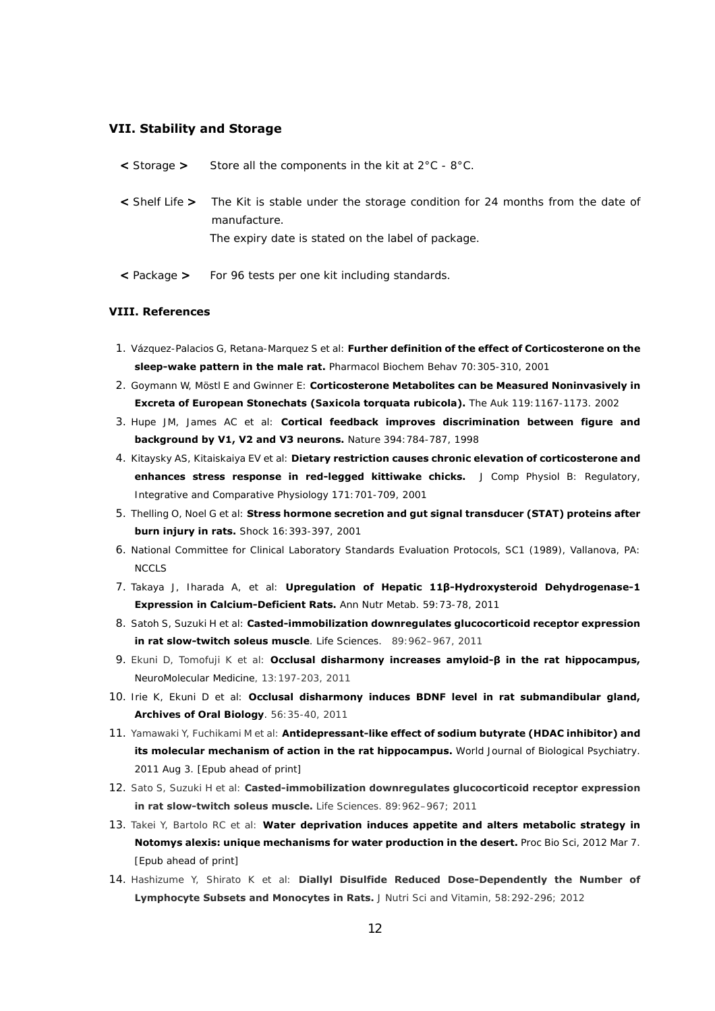### **VII. Stability and Storage**

| < Storage > | Store all the components in the kit at $2^{\circ}$ C - $8^{\circ}$ C.                       |
|-------------|---------------------------------------------------------------------------------------------|
|             | < Shelf Life > The Kit is stable under the storage condition for 24 months from the date of |
|             | manufacture.                                                                                |
|             | The expiry date is stated on the label of package.                                          |

**<** Package **>** For 96 tests per one kit including standards.

## **VIII. References**

- 1. Vázquez-Palacios G, Retana-Marquez S et al: **Further definition of the effect of Corticosterone on the sleep-wake pattern in the male rat.** *Pharmacol Biochem Behav* 70:305-310, 2001
- 2. Goymann W, Möstl E and Gwinner E: **Corticosterone Metabolites can be Measured Noninvasively in Excreta of European Stonechats (***Saxicola torquata rubicola***).** *The Auk* 119:1167-1173. 2002
- 3. Hupe JM, James AC et al: **Cortical feedback improves discrimination between figure and background by V1, V2 and V3 neurons.** *Nature* 394:784-787, 1998
- 4. Kitaysky AS, Kitaiskaiya EV et al: **Dietary restriction causes chronic elevation of corticosterone and enhances stress response in red-legged kittiwake chicks.** *J Comp Physiol B: Regulatory, Integrative and Comparative Physiology* 171:701-709, 2001
- 5. Thelling O, Noel G et al: **Stress hormone secretion and gut signal transducer (STAT) proteins after burn injury in rats.** *Shock* 16:393-397, 2001
- 6. National Committee for Clinical Laboratory Standards Evaluation Protocols, SC1 (1989), Vallanova, PA: NCCLS
- 7. Takaya J, Iharada A, et al: **Upregulation of Hepatic 11β-Hydroxysteroid Dehydrogenase-1 Expression in Calcium-Deficient Rats.** *Ann Nutr Metab.* 59:73-78, 2011
- 8. Satoh S, Suzuki H et al: **Casted-immobilization downregulates glucocorticoid receptor expression in rat slow-twitch soleus muscle**. *Life Sciences*. 89:962–967, 2011
- 9. Ekuni D, Tomofuji K et al: **Occlusal disharmony increases amyloid-β in the rat hippocampus,**  *NeuroMolecular Medicine*, 13:197-203, 2011
- 10. Irie K, Ekuni D et al: **Occlusal disharmony induces BDNF level in rat submandibular gland,**  *Archives of Oral Biology*. 56:35-40, 2011
- 11. Yamawaki Y, Fuchikami M et al: **Antidepressant-like effect of sodium butyrate (HDAC inhibitor) and its molecular mechanism of action in the rat hippocampus.** *World Journal of Biological Psychiatry*. 2011 Aug 3. [Epub ahead of print]
- 12. Sato S, Suzuki H et al: **Casted-immobilization downregulates glucocorticoid receptor expression in rat slow-twitch soleus muscle.** *Life Sciences*. 89:962–967; 2011
- 13. Takei Y, Bartolo RC et al: **Water deprivation induces appetite and alters metabolic strategy in Notomys alexis: unique mechanisms for water production in the desert.** *Proc Bio Sci,* 2012 Mar 7. [Epub ahead of print]
- 14. Hashizume Y, Shirato K et al: **Diallyl Disulfide Reduced Dose-Dependently the Number of Lymphocyte Subsets and Monocytes in Rats.** *J Nutri Sci and Vitamin,* 58:292-296; 2012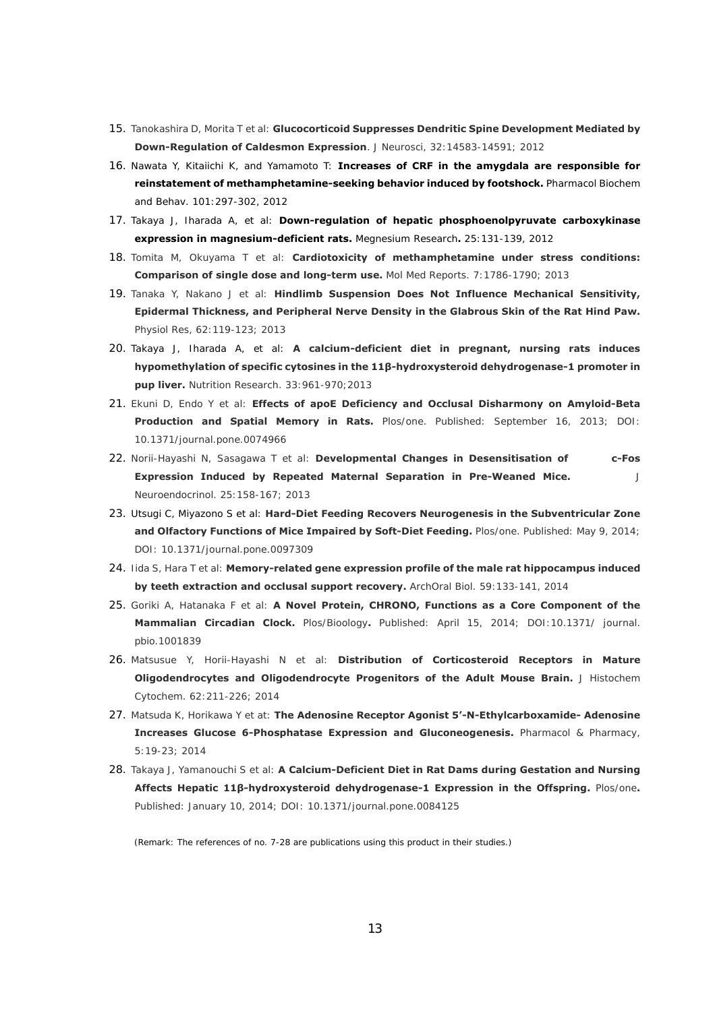- 15. Tanokashira D, Morita T et al: **Glucocorticoid Suppresses Dendritic Spine Development Mediated by Down-Regulation of Caldesmon Expression**. *J Neurosci*, 32:14583-14591; 2012
- 16. Nawata Y, Kitaiichi K, and Yamamoto T: **Increases of CRF in the amygdala are responsible for reinstatement of methamphetamine-seeking behavior induced by footshock.** *Pharmacol Biochem and Behav.* 101:297-302, 2012
- 17. Takaya J, Iharada A, et al: **Down-regulation of hepatic phosphoenolpyruvate carboxykinase expression in magnesium-deficient rats.** *Megnesium Research***.** 25:131-139, 2012
- 18. Tomita M, Okuyama T et al: **Cardiotoxicity of methamphetamine under stress conditions: Comparison of single dose and long-term use.** *Mol Med Reports*. 7:1786-1790; 2013
- 19. Tanaka Y, Nakano J et al: **Hindlimb Suspension Does Not Influence Mechanical Sensitivity, Epidermal Thickness, and Peripheral Nerve Density in the Glabrous Skin of the Rat Hind Paw.** *Physiol Res*, 62:119-123; 2013
- 20. Takaya J, Iharada A, et al: **A calcium-deficient diet in pregnant, nursing rats induces hypomethylation of specific cytosines in the 11β-hydroxysteroid dehydrogenase-1 promoter in pup liver.** *Nutrition Research.* 33:961-970;2013
- 21. Ekuni D, Endo Y et al: **Effects of apoE Deficiency and Occlusal Disharmony on Amyloid-Beta Production and Spatial Memory in Rats.** *Plos/one*. Published: September 16, 2013; DOI: 10.1371/journal.pone.0074966
- 22. Norii-Hayashi N, Sasagawa T et al: **Developmental Changes in Desensitisation of c-Fos Expression Induced by Repeated Maternal Separation in Pre-Weaned Mice.** *J Neuroendocrinol*. 25:158-167; 2013
- 23. Utsugi C, Miyazono S et al: **Hard-Diet Feeding Recovers Neurogenesis in the Subventricular Zone and Olfactory Functions of Mice Impaired by Soft-Diet Feeding.** *Plos/one*. Published: May 9, 2014; DOI: 10.1371/journal.pone.0097309
- 24. Iida S, Hara T et al: **Memory-related gene expression profile of the male rat hippocampus induced by teeth extraction and occlusal support recovery.** *ArchOral Biol.* 59:133-141, 2014
- 25. Goriki A, Hatanaka F et al: **A Novel Protein, CHRONO, Functions as a Core Component of the Mammalian Circadian Clock.** *Plos/Bioology***.** Published: April 15, 2014; DOI:10.1371/ journal. pbio.1001839
- 26. Matsusue Y, Horii-Hayashi N et al: **Distribution of Corticosteroid Receptors in Mature Oligodendrocytes and Oligodendrocyte Progenitors of the Adult Mouse Brain.** *J Histochem Cytochem*. 62:211-226; 2014
- 27. Matsuda K, Horikawa Y et at: **The Adenosine Receptor Agonist 5'-N-Ethylcarboxamide- Adenosine Increases Glucose 6-Phosphatase Expression and Gluconeogenesis.** *Pharmacol & Pharmacy*, 5:19-23; 2014
- 28. Takaya J, Yamanouchi S et al: **A Calcium-Deficient Diet in Rat Dams during Gestation and Nursing Affects Hepatic 11β-hydroxysteroid dehydrogenase-1 Expression in the Offspring.** *Plos/one***.**  Published: January 10, 2014; DOI: 10.1371/journal.pone.0084125

(Remark: The references of no. 7-28 are publications using this product in their studies.)